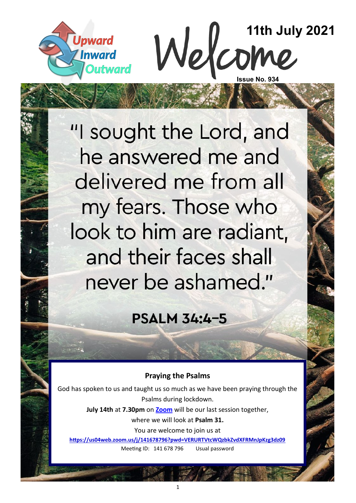



"I sought the Lord, and he answered me and delivered me from all my fears. Those who look to him are radiant, and their faces shall never be ashamed."

**PSALM 34:4-5** 

#### **Praying the Psalms**

God has spoken to us and taught us so much as we have been praying through the Psalms during lockdown.

> **July 14th** at **7.30pm** on **[Zoom](https://us04web.zoom.us/j/141678796?pwd=VERURTVtcWQzbkZvdXFRMnJpKzg3dz09)** will be our last session together, where we will look at **Psalm 31.**

> > You are welcome to join us at

**<https://us04web.zoom.us/j/141678796?pwd=VERURTVtcWQzbkZvdXFRMnJpKzg3dz09>** Meeting ID: 141 678 796 Usual password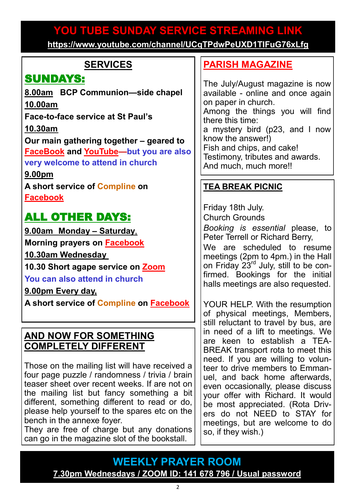# **YOU TUBE SUNDAY SERVICE STREAMING LINK YOU TUBE SUNDAY SERVICE STREAMING LINK**

**[https://www.youtube.com/channel/UCqTPdwPeUXD1TIFuG76xLfg](https://nam12.safelinks.protection.outlook.com/?url=https%3A%2F%2Fwww.youtube.com%2Fchannel%2FUCqTPdwPeUXD1TIFuG76xLfg&data=04%7C01%7C%7C98819de32b254e54143f08d89b609eed%7C84df9e7fe9f640afb435aaaaaaaaaaaa%7C1%7C0%7C637430186562964999%7CUnknown%7CTWFpbGZsb3d8e) <https://www.youtube.com/channel/UCqTPdwPeUXD1TIFuG76xLfg>**

### **SERVICES**

## SUNDAYS:

**8.00am BCP Communion—side chapel 10.00am**

**Face-to-face service at St Paul's** 

**10.30am**

**Our main gathering together – geared to [FaceBook](https://www.facebook.com/emmanuelwithstpauls/) and [YouTube—](https://www.youtube.com/channel/UCqTPdwPeUXD1TIFuG76xLfg)but you are also very welcome to attend in church**

**9.00pm**

**A short service of [Compline](https://www.emmanuelplymouth.co.uk/Publisher/File.aspx?ID=259665) on [Facebook](https://www.facebook.com/emmanuelwithstpauls/)**

## ALL OTHER DAYS:

**9.00am Monday – Saturday**,

**Morning prayers on [Facebook](https://www.facebook.com/emmanuelwithstpauls/)**

**10.30am Wednesday**

**10.30 Short agape service on [Zoom](https://us02web.zoom.us/j/87669471222?pwd=amNNVGJ4QmtIeFhlTlFmRTRTV29ndz09)**

**You can also attend in church**

**9.00pm Every day,**

**A short service of [Compline](https://www.emmanuelplymouth.co.uk/Publisher/File.aspx?ID=259665) on [Facebook](https://www.facebook.com/emmanuelwithstpauls/)**

#### **AND NOW FOR SOMETHING COMPLETELY DIFFERENT**

Those on the mailing list will have received a four page puzzle / randomness / trivia / brain teaser sheet over recent weeks. If are not on the mailing list but fancy something a bit different, something different to read or do, please help yourself to the spares etc on the bench in the annexe foyer.

They are free of charge but any donations can go in the magazine slot of the bookstall.

### **[PARISH MAGAZINE](https://www.emmanuelplymouth.co.uk/Publisher/File.aspx?ID=289560)**

The July/August magazine is now available - online and once again on paper in church. Among the things you will find there this time: a mystery bird (p23, and I now know the answer!) Fish and chips, and cake! Testimony, tributes and awards. And much, much more!!

## **TEA BREAK PICNIC**

Friday 18th July. Church Grounds *Booking is essential* please, to Peter Terrell or Richard Berry,

We are scheduled to resume meetings (2pm to 4pm.) in the Hall on Friday 23rd July, still to be confirmed. Bookings for the initial halls meetings are also requested.

YOUR HELP. With the resumption of physical meetings, Members, still reluctant to travel by bus, are in need of a lift to meetings. We are keen to establish a TEA-BREAK transport rota to meet this need. If you are willing to volunteer to drive members to Emmanuel, and back home afterwards, even occasionally, please discuss your offer with Richard. It would be most appreciated. (Rota Drivers do not NEED to STAY for meetings, but are welcome to do so, if they wish.)

**WEEKLY PRAYER ROOM [7.30pm Wednesdays / ZOOM ID: 141 678 796 / Usual password](https://us04web.zoom.us/j/141678796?pwd=VERURTVtcWQzbkZvdXFRMnJpKzg3dz09)**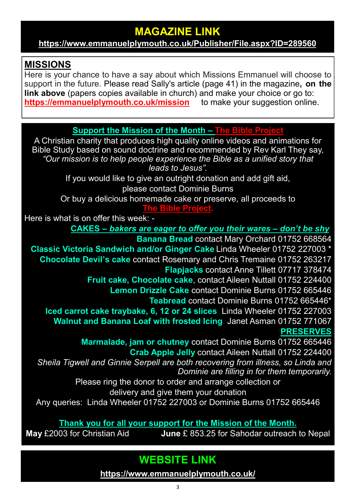## **MAGAZINE LINK**

**<https://www.emmanuelplymouth.co.uk/Publisher/File.aspx?ID=289560>**

#### **MISSIONS**

Here is your chance to have a say about which Missions Emmanuel will choose to support in the future. Please read Sally's article (page 41) in the magazine**, on the link above** (papers copies available in church) and make your choice or go to: **[https://emmanuelplymouth.co.uk/mission](https://emmanuelplymouth.co.uk/Articles/611344/Potential_Partners.aspx)** to make your suggestion online.

**Support the Mission of the Month – [The Bible Project](https://bibleproject.com/)**

A Christian charity that produces high quality online videos and animations for Bible Study based on sound doctrine and recommended by Rev Karl They say, *"Our mission is to help people experience the Bible as a unified story that leads to Jesus".*

If you would like to give an outright donation and add gift aid, please contact Dominie Burns

Or buy a delicious homemade cake or preserve, all proceeds to

**[The Bible Project.](https://bibleproject.com/)**

Here is what is on offer this week: -

**CAKES –** *bakers are eager to offer you their wares – don't be shy.* 

**Banana Bread** contact Mary Orchard 01752 668564 **Classic Victoria Sandwich and/or Ginger Cake** Linda Wheeler 01752 227003 \* **Chocolate Devil's cake** contact Rosemary and Chris Tremaine 01752 263217 **Flapjacks** contact Anne Tillett 07717 378474

**Fruit cake, Chocolate cake**, contact Aileen Nuttall 01752 224400

**Lemon Drizzle Cake** contact Dominie Burns 01752 665446

**Teabread** contact Dominie Burns 01752 665446\*

**Iced carrot cake traybake, 6, 12 or 24 slices**, Linda Wheeler 01752 227003 **Walnut and Banana Loaf with frosted Icing** Janet Asman 01752 771067 **PRESERVES**

**Marmalade, jam or chutney** contact Dominie Burns 01752 665446 **Crab Apple Jelly** contact Aileen Nuttall 01752 224400 *\*Sheila Tigwell and Ginnie Serpell are both recovering from illness, so Linda and Dominie are filling in for them temporarily.* 

Please ring the donor to order and arrange collection or delivery and give them your donation

Any queries: Linda Wheeler 01752 227003 or Dominie Burns 01752 665446

**Thank you for all your support for the Mission of the Month.**

**May** £2003 for Christian Aid **June** £ 853.25 for Sahodar outreach to Nepal

**WEBSITE LINK** 

**<https://www.emmanuelplymouth.co.uk/>**